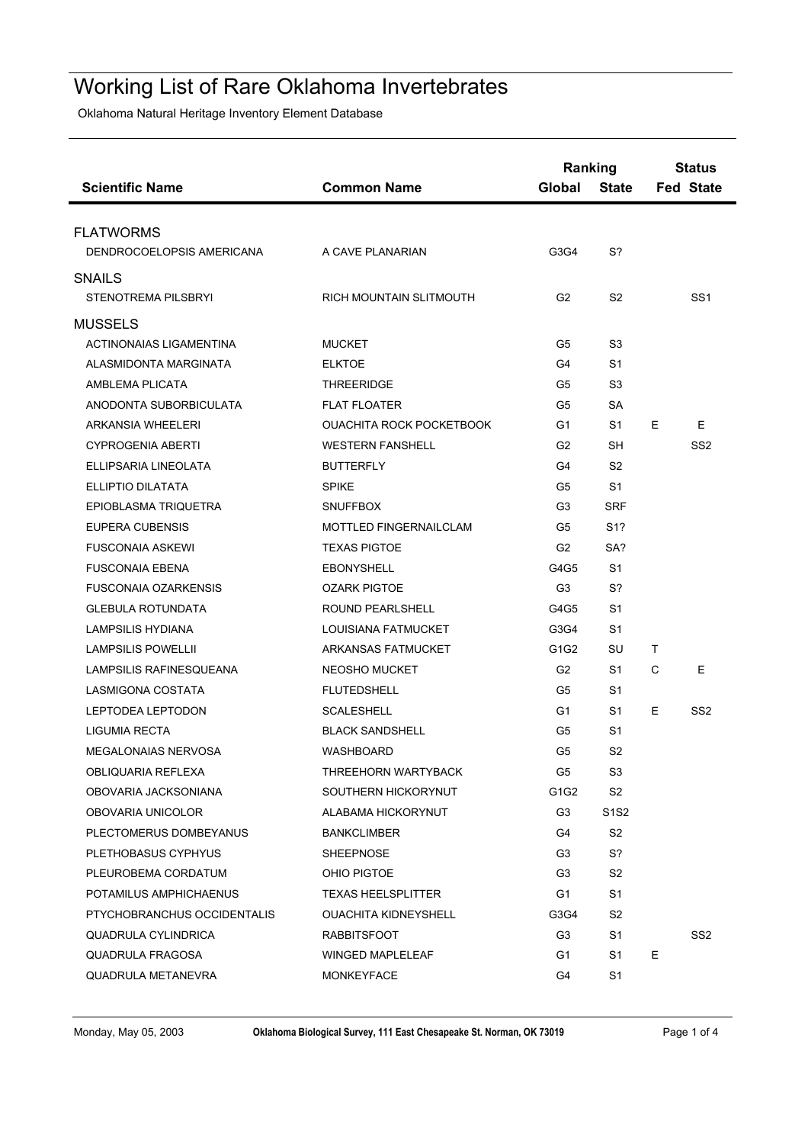## Working List of Rare Oklahoma Invertebrates

Oklahoma Natural Heritage Inventory Element Database

| <b>Scientific Name</b>         | <b>Common Name</b>              | Ranking<br>Global | <b>State</b>                  |    | <b>Status</b><br><b>Fed State</b> |
|--------------------------------|---------------------------------|-------------------|-------------------------------|----|-----------------------------------|
| <b>FLATWORMS</b>               |                                 |                   |                               |    |                                   |
| DENDROCOELOPSIS AMERICANA      | A CAVE PLANARIAN                | G3G4              | S?                            |    |                                   |
| <b>SNAILS</b>                  |                                 |                   |                               |    |                                   |
| <b>STENOTREMA PILSBRYI</b>     | RICH MOUNTAIN SLITMOUTH         | G <sub>2</sub>    | S <sub>2</sub>                |    | SS <sub>1</sub>                   |
| <b>MUSSELS</b>                 |                                 |                   |                               |    |                                   |
| <b>ACTINONAIAS LIGAMENTINA</b> | <b>MUCKET</b>                   | G5                | S3                            |    |                                   |
| ALASMIDONTA MARGINATA          | <b>ELKTOE</b>                   | G4                | S1                            |    |                                   |
| AMBLEMA PLICATA                | <b>THREERIDGE</b>               | G5                | S3                            |    |                                   |
| ANODONTA SUBORBICULATA         | <b>FLAT FLOATER</b>             | G5                | <b>SA</b>                     |    |                                   |
| <b>ARKANSIA WHEELERI</b>       | <b>OUACHITA ROCK POCKETBOOK</b> | G1                | S1                            | E  | E                                 |
| <b>CYPROGENIA ABERTI</b>       | <b>WESTERN FANSHELL</b>         | G <sub>2</sub>    | <b>SH</b>                     |    | SS <sub>2</sub>                   |
| ELLIPSARIA LINEOLATA           | <b>BUTTERFLY</b>                | G4                | S <sub>2</sub>                |    |                                   |
| ELLIPTIO DILATATA              | <b>SPIKE</b>                    | G5                | S1                            |    |                                   |
| EPIOBLASMA TRIQUETRA           | <b>SNUFFBOX</b>                 | G3                | <b>SRF</b>                    |    |                                   |
| <b>EUPERA CUBENSIS</b>         | <b>MOTTLED FINGERNAILCLAM</b>   | G5                | S <sub>1</sub> ?              |    |                                   |
| <b>FUSCONAIA ASKEWI</b>        | <b>TEXAS PIGTOE</b>             | G <sub>2</sub>    | SA?                           |    |                                   |
| <b>FUSCONAIA EBENA</b>         | <b>EBONYSHELL</b>               | G4G5              | S1                            |    |                                   |
| <b>FUSCONAIA OZARKENSIS</b>    | <b>OZARK PIGTOE</b>             | G <sub>3</sub>    | S?                            |    |                                   |
| <b>GLEBULA ROTUNDATA</b>       | ROUND PEARLSHELL                | G4G5              | S1                            |    |                                   |
| LAMPSILIS HYDIANA              | LOUISIANA FATMUCKET             | G3G4              | S1                            |    |                                   |
| <b>LAMPSILIS POWELLII</b>      | ARKANSAS FATMUCKET              | G1G2              | SU                            | Τ  |                                   |
| LAMPSILIS RAFINESQUEANA        | NEOSHO MUCKET                   | G <sub>2</sub>    | S1                            | C  | E                                 |
| <b>LASMIGONA COSTATA</b>       | <b>FLUTEDSHELL</b>              | G5                | S1                            |    |                                   |
| LEPTODEA LEPTODON              | <b>SCALESHELL</b>               | G1                | S1                            | E  | SS <sub>2</sub>                   |
| LIGUMIA RECTA                  | <b>BLACK SANDSHELL</b>          | G5                | S1                            |    |                                   |
| <b>MEGALONAIAS NERVOSA</b>     | <b>WASHBOARD</b>                | G5                | S <sub>2</sub>                |    |                                   |
| OBLIQUARIA REFLEXA             | THREEHORN WARTYBACK             | G5                | S <sub>3</sub>                |    |                                   |
| OBOVARIA JACKSONIANA           | SOUTHERN HICKORYNUT             | G1G2              | S2                            |    |                                   |
| OBOVARIA UNICOLOR              | ALABAMA HICKORYNUT              | G3                | S <sub>1</sub> S <sub>2</sub> |    |                                   |
| PLECTOMERUS DOMBEYANUS         | <b>BANKCLIMBER</b>              | G4                | S <sub>2</sub>                |    |                                   |
| PLETHOBASUS CYPHYUS            | <b>SHEEPNOSE</b>                | G3                | S?                            |    |                                   |
| PLEUROBEMA CORDATUM            | OHIO PIGTOE                     | G3                | S2                            |    |                                   |
| POTAMILUS AMPHICHAENUS         | <b>TEXAS HEELSPLITTER</b>       | G1                | S1                            |    |                                   |
| PTYCHOBRANCHUS OCCIDENTALIS    | <b>OUACHITA KIDNEYSHELL</b>     | G3G4              | S2                            |    |                                   |
| QUADRULA CYLINDRICA            | <b>RABBITSFOOT</b>              | G3                | S1                            |    | SS <sub>2</sub>                   |
| QUADRULA FRAGOSA               | WINGED MAPLELEAF                | G1                | S1                            | E. |                                   |
| QUADRULA METANEVRA             | MONKEYFACE                      | G4                | S1                            |    |                                   |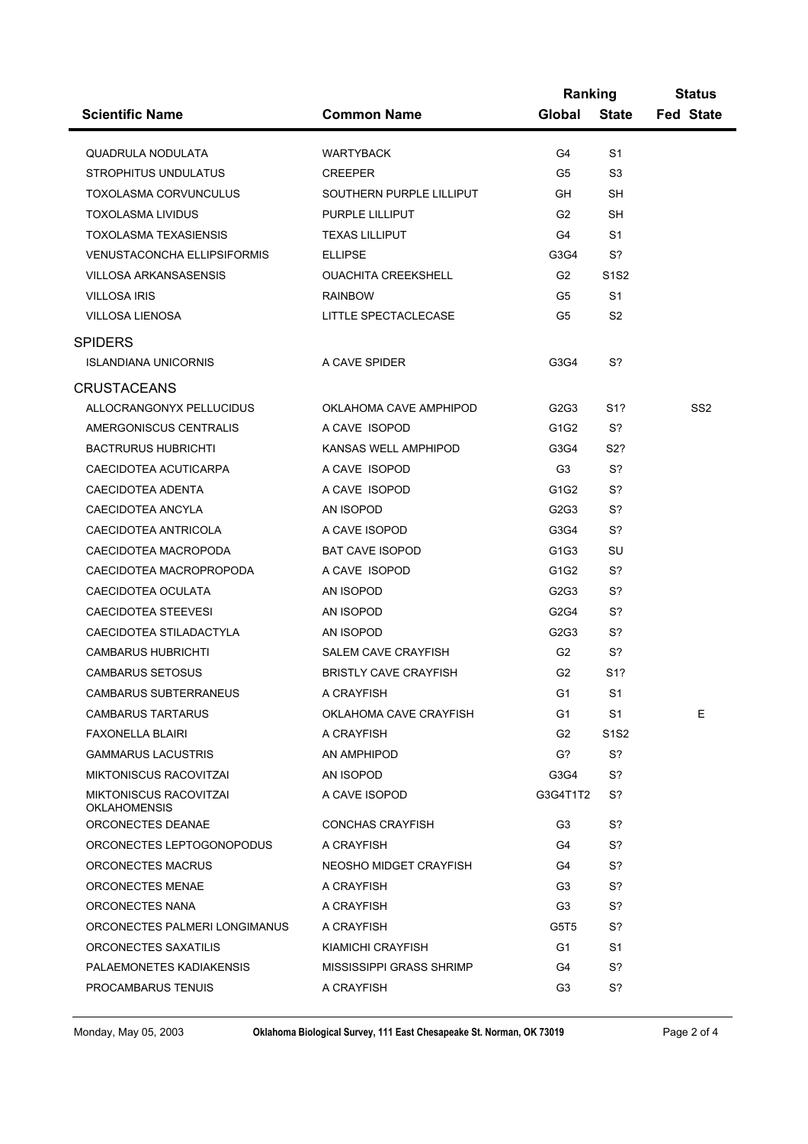|                                               |                              | Ranking        |                               | <b>Status</b>    |  |
|-----------------------------------------------|------------------------------|----------------|-------------------------------|------------------|--|
| <b>Scientific Name</b>                        | <b>Common Name</b>           | Global         | <b>State</b>                  | <b>Fed State</b> |  |
| QUADRULA NODULATA                             | <b>WARTYBACK</b>             | G4             | S1                            |                  |  |
| <b>STROPHITUS UNDULATUS</b>                   | <b>CREEPER</b>               | G5             | S3                            |                  |  |
| <b>TOXOLASMA CORVUNCULUS</b>                  | SOUTHERN PURPLE LILLIPUT     | GH             | <b>SH</b>                     |                  |  |
| <b>TOXOLASMA LIVIDUS</b>                      | PURPLE LILLIPUT              | G <sub>2</sub> | SН                            |                  |  |
| <b>TOXOLASMA TEXASIENSIS</b>                  | <b>TEXAS LILLIPUT</b>        | G4             | S1                            |                  |  |
| <b>VENUSTACONCHA ELLIPSIFORMIS</b>            | <b>ELLIPSE</b>               | G3G4           | S?                            |                  |  |
| VILLOSA ARKANSASENSIS                         | <b>OUACHITA CREEKSHELL</b>   | G <sub>2</sub> | S <sub>1</sub> S <sub>2</sub> |                  |  |
| <b>VILLOSA IRIS</b>                           | <b>RAINBOW</b>               | G5             | S <sub>1</sub>                |                  |  |
| VILLOSA LIENOSA                               | LITTLE SPECTACLECASE         | G <sub>5</sub> | S <sub>2</sub>                |                  |  |
| <b>SPIDERS</b>                                |                              |                |                               |                  |  |
| <b>ISLANDIANA UNICORNIS</b>                   | A CAVE SPIDER                | G3G4           | S?                            |                  |  |
| <b>CRUSTACEANS</b>                            |                              |                |                               |                  |  |
| ALLOCRANGONYX PELLUCIDUS                      | OKLAHOMA CAVE AMPHIPOD       | G2G3           | S1?                           | SS2              |  |
| AMERGONISCUS CENTRALIS                        | A CAVE ISOPOD                | G1G2           | S?                            |                  |  |
| <b>BACTRURUS HUBRICHTI</b>                    | KANSAS WELL AMPHIPOD         | G3G4           | S2?                           |                  |  |
| CAECIDOTEA ACUTICARPA                         | A CAVE ISOPOD                | G <sub>3</sub> | S?                            |                  |  |
| CAECIDOTEA ADENTA                             | A CAVE ISOPOD                | G1G2           | S?                            |                  |  |
| CAECIDOTEA ANCYLA                             | AN ISOPOD                    | G2G3           | S?                            |                  |  |
| CAECIDOTEA ANTRICOLA                          | A CAVE ISOPOD                | G3G4           | S?                            |                  |  |
| CAECIDOTEA MACROPODA                          | <b>BAT CAVE ISOPOD</b>       | G1G3           | SU                            |                  |  |
| CAECIDOTEA MACROPROPODA                       | A CAVE ISOPOD                | G1G2           | S?                            |                  |  |
| CAECIDOTEA OCULATA                            | AN ISOPOD                    | G2G3           | S?                            |                  |  |
| CAECIDOTEA STEEVESI                           | AN ISOPOD                    | G2G4           | S?                            |                  |  |
| CAECIDOTEA STILADACTYLA                       | AN ISOPOD                    | G2G3           | S?                            |                  |  |
| <b>CAMBARUS HUBRICHTI</b>                     | SALEM CAVE CRAYFISH          | G <sub>2</sub> | S?                            |                  |  |
| <b>CAMBARUS SETOSUS</b>                       | <b>BRISTLY CAVE CRAYFISH</b> | G <sub>2</sub> | S1?                           |                  |  |
| CAMBARUS SUBTERRANEUS                         | A CRAYFISH                   | G <sub>1</sub> | S <sub>1</sub>                |                  |  |
| CAMBARUS TARTARUS                             | OKLAHOMA CAVE CRAYFISH       | G1             | S1                            | Е                |  |
| FAXONELLA BLAIRI                              | A CRAYFISH                   | G <sub>2</sub> | S <sub>1</sub> S <sub>2</sub> |                  |  |
| <b>GAMMARUS LACUSTRIS</b>                     | AN AMPHIPOD                  | G?             | S <sup>2</sup>                |                  |  |
| MIKTONISCUS RACOVITZAI                        | AN ISOPOD                    | G3G4           | S?                            |                  |  |
| MIKTONISCUS RACOVITZAI<br><b>OKLAHOMENSIS</b> | A CAVE ISOPOD                | G3G4T1T2       | S?                            |                  |  |
| ORCONECTES DEANAE                             | <b>CONCHAS CRAYFISH</b>      | G3             | S?                            |                  |  |
| ORCONECTES LEPTOGONOPODUS                     | A CRAYFISH                   | G4             | S?                            |                  |  |
| ORCONECTES MACRUS                             | NEOSHO MIDGET CRAYFISH       | G4             | S?                            |                  |  |
| ORCONECTES MENAE                              | A CRAYFISH                   | G3             | S?                            |                  |  |
| ORCONECTES NANA                               | A CRAYFISH                   | G3             | S?                            |                  |  |
| ORCONECTES PALMERI LONGIMANUS                 | A CRAYFISH                   | G5T5           | S?                            |                  |  |
| ORCONECTES SAXATILIS                          | KIAMICHI CRAYFISH            | G1             | S1                            |                  |  |
| PALAEMONETES KADIAKENSIS                      | MISSISSIPPI GRASS SHRIMP     | G4             | S?                            |                  |  |
| PROCAMBARUS TENUIS                            | A CRAYFISH                   | G3             | S?                            |                  |  |
|                                               |                              |                |                               |                  |  |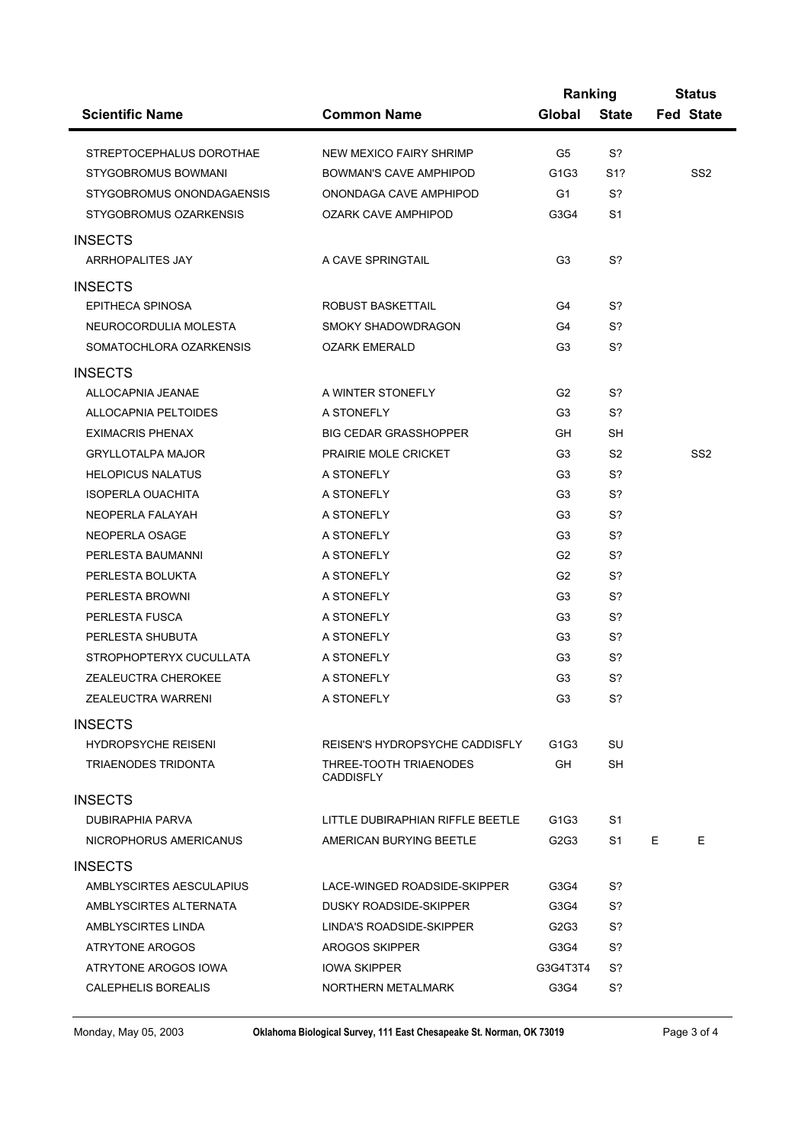|                            |                                            | Ranking        |                | <b>Status</b>    |  |
|----------------------------|--------------------------------------------|----------------|----------------|------------------|--|
| <b>Scientific Name</b>     | <b>Common Name</b>                         | Global         | <b>State</b>   | <b>Fed State</b> |  |
| STREPTOCEPHALUS DOROTHAE   | NEW MEXICO FAIRY SHRIMP                    | G5             | S?             |                  |  |
| STYGOBROMUS BOWMANI        | BOWMAN'S CAVE AMPHIPOD                     | G1G3           | S1?            | SS <sub>2</sub>  |  |
| STYGOBROMUS ONONDAGAENSIS  | ONONDAGA CAVE AMPHIPOD                     | G <sub>1</sub> | S?             |                  |  |
| STYGOBROMUS OZARKENSIS     | OZARK CAVE AMPHIPOD                        | G3G4           | S1             |                  |  |
|                            |                                            |                |                |                  |  |
| <b>INSECTS</b>             |                                            |                |                |                  |  |
| ARRHOPALITES JAY           | A CAVE SPRINGTAIL                          | G <sub>3</sub> | S?             |                  |  |
| <b>INSECTS</b>             |                                            |                |                |                  |  |
| EPITHECA SPINOSA           | ROBUST BASKETTAIL                          | G4             | S?             |                  |  |
| NEUROCORDULIA MOLESTA      | SMOKY SHADOWDRAGON                         | G4             | S?             |                  |  |
| SOMATOCHLORA OZARKENSIS    | <b>OZARK EMERALD</b>                       | G <sub>3</sub> | S?             |                  |  |
| <b>INSECTS</b>             |                                            |                |                |                  |  |
| ALLOCAPNIA JEANAE          | A WINTER STONEFLY                          | G <sub>2</sub> | S?             |                  |  |
| ALLOCAPNIA PELTOIDES       | A STONEFLY                                 | G <sub>3</sub> | S?             |                  |  |
| <b>EXIMACRIS PHENAX</b>    | <b>BIG CEDAR GRASSHOPPER</b>               | GH.            | <b>SH</b>      |                  |  |
| <b>GRYLLOTALPA MAJOR</b>   | PRAIRIE MOLE CRICKET                       | G <sub>3</sub> | S <sub>2</sub> | SS <sub>2</sub>  |  |
| <b>HELOPICUS NALATUS</b>   | A STONEFLY                                 | G <sub>3</sub> | S?             |                  |  |
| <b>ISOPERLA OUACHITA</b>   | A STONEFLY                                 | G <sub>3</sub> | S?             |                  |  |
| NEOPERLA FALAYAH           | A STONEFLY                                 | G <sub>3</sub> | S?             |                  |  |
| NEOPERLA OSAGE             | A STONEFLY                                 | G <sub>3</sub> | S?             |                  |  |
| PERLESTA BAUMANNI          | A STONEFLY                                 | G <sub>2</sub> | S?             |                  |  |
| PERLESTA BOLUKTA           | A STONEFLY                                 | G <sub>2</sub> | S?             |                  |  |
| PERLESTA BROWNI            | A STONEFLY                                 | G <sub>3</sub> | S?             |                  |  |
| PERLESTA FUSCA             | A STONEFLY                                 | G <sub>3</sub> | S?             |                  |  |
| PERLESTA SHUBUTA           | A STONEFLY                                 | G <sub>3</sub> | S?             |                  |  |
| STROPHOPTERYX CUCULLATA    | A STONEFLY                                 | G <sub>3</sub> | S?             |                  |  |
| ZEALEUCTRA CHEROKEE        | A STONEFLY                                 | G <sub>3</sub> | S?             |                  |  |
| ZEALEUCTRA WARRENI         | A STONEFLY                                 | G <sub>3</sub> | S?             |                  |  |
| <b>INSECTS</b>             |                                            |                |                |                  |  |
| <b>HYDROPSYCHE REISENI</b> | REISEN'S HYDROPSYCHE CADDISFLY             | G1G3           | SU             |                  |  |
| TRIAENODES TRIDONTA        | THREE-TOOTH TRIAENODES<br><b>CADDISFLY</b> | GH.            | SН             |                  |  |
| <b>INSECTS</b>             |                                            |                |                |                  |  |
| DUBIRAPHIA PARVA           | LITTLE DUBIRAPHIAN RIFFLE BEETLE           | G1G3           | S1             |                  |  |
| NICROPHORUS AMERICANUS     | AMERICAN BURYING BEETLE                    | G2G3           | S1             | E.<br>E.         |  |
| <b>INSECTS</b>             |                                            |                |                |                  |  |
| AMBLYSCIRTES AESCULAPIUS   | LACE-WINGED ROADSIDE-SKIPPER               | G3G4           | S?             |                  |  |
| AMBLYSCIRTES ALTERNATA     | DUSKY ROADSIDE-SKIPPER                     | G3G4           | S?             |                  |  |
| AMBLYSCIRTES LINDA         | LINDA'S ROADSIDE-SKIPPER                   | G2G3           | S?             |                  |  |
| ATRYTONE AROGOS            | AROGOS SKIPPER                             | G3G4           | S?             |                  |  |
| ATRYTONE AROGOS IOWA       | <b>IOWA SKIPPER</b>                        | G3G4T3T4       | S?             |                  |  |
| CALEPHELIS BOREALIS        | NORTHERN METALMARK                         | G3G4           | S?             |                  |  |
|                            |                                            |                |                |                  |  |